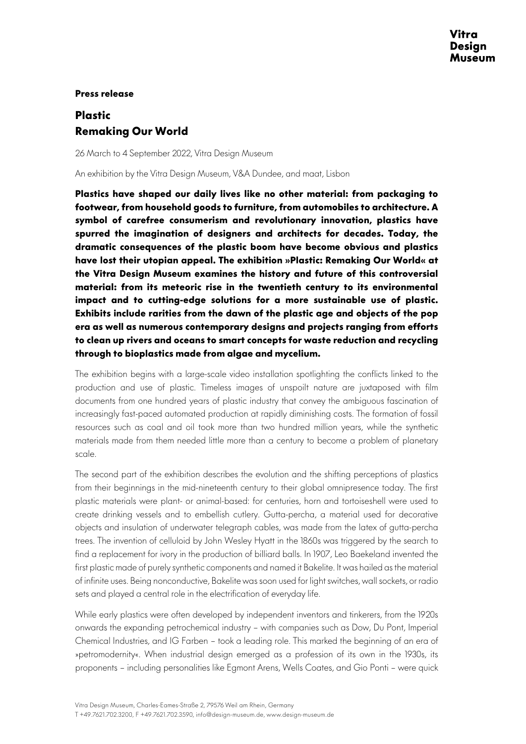## **Press release**

## **Plastic Remaking Our World**

26 March to 4 September 2022, Vitra Design Museum

An exhibition by the Vitra Design Museum, V&A Dundee, and maat, Lisbon

**Plastics have shaped our daily lives like no other material: from packaging to footwear, from household goods to furniture, from automobiles to architecture. A symbol of carefree consumerism and revolutionary innovation, plastics have spurred the imagination of designers and architects for decades. Today, the dramatic consequences of the plastic boom have become obvious and plastics have lost their utopian appeal. The exhibition »Plastic: Remaking Our World« at the Vitra Design Museum examines the history and future of this controversial material: from its meteoric rise in the twentieth century to its environmental impact and to cutting-edge solutions for a more sustainable use of plastic. Exhibits include rarities from the dawn of the plastic age and objects of the pop era as well as numerous contemporary designs and projects ranging from efforts to clean up rivers and oceans to smart concepts for waste reduction and recycling through to bioplastics made from algae and mycelium.** 

The exhibition begins with a large-scale video installation spotlighting the conflicts linked to the production and use of plastic. Timeless images of unspoilt nature are juxtaposed with film documents from one hundred years of plastic industry that convey the ambiguous fascination of increasingly fast-paced automated production at rapidly diminishing costs. The formation of fossil resources such as coal and oil took more than two hundred million years, while the synthetic materials made from them needed little more than a century to become a problem of planetary scale.

The second part of the exhibition describes the evolution and the shifting perceptions of plastics from their beginnings in the mid-nineteenth century to their global omnipresence today. The first plastic materials were plant- or animal-based: for centuries, horn and tortoiseshell were used to create drinking vessels and to embellish cutlery. Gutta-percha, a material used for decorative objects and insulation of underwater telegraph cables, was made from the latex of gutta-percha trees. The invention of celluloid by John Wesley Hyatt in the 1860s was triggered by the search to find a replacement for ivory in the production of billiard balls. In 1907, Leo Baekeland invented the first plastic made of purely synthetic components and named it Bakelite. It was hailed as the material of infinite uses. Being nonconductive, Bakelite was soon used for light switches, wall sockets, or radio sets and played a central role in the electrification of everyday life.

While early plastics were often developed by independent inventors and tinkerers, from the 1920s onwards the expanding petrochemical industry – with companies such as Dow, Du Pont, Imperial Chemical Industries, and IG Farben – took a leading role. This marked the beginning of an era of »petromodernity«. When industrial design emerged as a profession of its own in the 1930s, its proponents – including personalities like Egmont Arens, Wells Coates, and Gio Ponti – were quick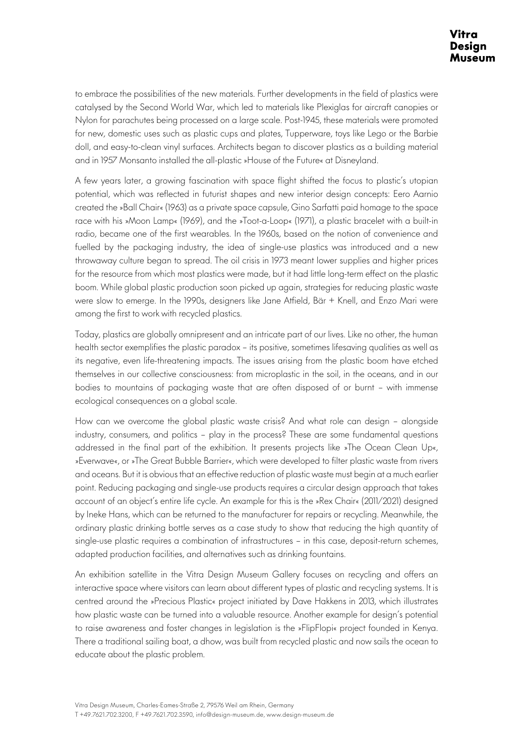to embrace the possibilities of the new materials. Further developments in the field of plastics were catalysed by the Second World War, which led to materials like Plexiglas for aircraft canopies or Nylon for parachutes being processed on a large scale. Post-1945, these materials were promoted for new, domestic uses such as plastic cups and plates, Tupperware, toys like Lego or the Barbie doll, and easy-to-clean vinyl surfaces. Architects began to discover plastics as a building material and in 1957 Monsanto installed the all-plastic »House of the Future« at Disneyland.

A few years later, a growing fascination with space flight shifted the focus to plastic's utopian potential, which was reflected in futurist shapes and new interior design concepts: Eero Aarnio created the »Ball Chair« (1963) as a private space capsule, Gino Sarfatti paid homage to the space race with his »Moon Lamp« (1969), and the »Toot-a-Loop« (1971), a plastic bracelet with a built-in radio, became one of the first wearables. In the 1960s, based on the notion of convenience and fuelled by the packaging industry, the idea of single-use plastics was introduced and a new throwaway culture began to spread. The oil crisis in 1973 meant lower supplies and higher prices for the resource from which most plastics were made, but it had little long-term effect on the plastic boom. While global plastic production soon picked up again, strategies for reducing plastic waste were slow to emerge. In the 1990s, designers like Jane Atfield, Bär + Knell, and Enzo Mari were among the first to work with recycled plastics.

Today, plastics are globally omnipresent and an intricate part of our lives. Like no other, the human health sector exemplifies the plastic paradox – its positive, sometimes lifesaving qualities as well as its negative, even life-threatening impacts. The issues arising from the plastic boom have etched themselves in our collective consciousness: from microplastic in the soil, in the oceans, and in our bodies to mountains of packaging waste that are often disposed of or burnt – with immense ecological consequences on a global scale.

How can we overcome the global plastic waste crisis? And what role can design – alongside industry, consumers, and politics – play in the process? These are some fundamental questions addressed in the final part of the exhibition. It presents projects like »The Ocean Clean Up«, »Everwave«, or »The Great Bubble Barrier«, which were developed to filter plastic waste from rivers and oceans. But it is obvious that an effective reduction of plastic waste must begin at a much earlier point. Reducing packaging and single-use products requires a circular design approach that takes account of an object's entire life cycle. An example for this is the »Rex Chair« (2011/2021) designed by Ineke Hans, which can be returned to the manufacturer for repairs or recycling. Meanwhile, the ordinary plastic drinking bottle serves as a case study to show that reducing the high quantity of single-use plastic requires a combination of infrastructures – in this case, deposit-return schemes, adapted production facilities, and alternatives such as drinking fountains.

An exhibition satellite in the Vitra Design Museum Gallery focuses on recycling and offers an interactive space where visitors can learn about different types of plastic and recycling systems. It is centred around the »Precious Plastic« project initiated by Dave Hakkens in 2013, which illustrates how plastic waste can be turned into a valuable resource. Another example for design's potential to raise awareness and foster changes in legislation is the »FlipFlopi« project founded in Kenya. There a traditional sailing boat, a dhow, was built from recycled plastic and now sails the ocean to educate about the plastic problem.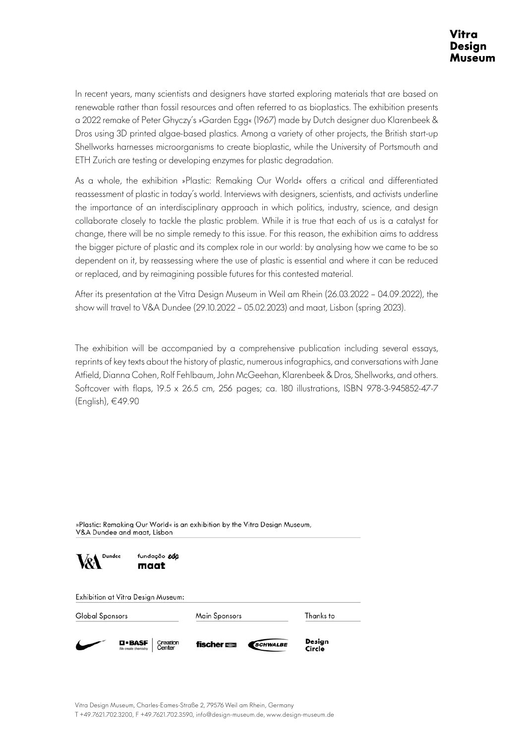In recent years, many scientists and designers have started exploring materials that are based on renewable rather than fossil resources and often referred to as bioplastics. The exhibition presents a 2022 remake of Peter Ghyczy's »Garden Egg« (1967) made by Dutch designer duo Klarenbeek & Dros using 3D printed algae-based plastics. Among a variety of other projects, the British start-up Shellworks harnesses microorganisms to create bioplastic, while the University of Portsmouth and ETH Zurich are testing or developing enzymes for plastic degradation.

As a whole, the exhibition »Plastic: Remaking Our World« offers a critical and differentiated reassessment of plastic in today's world. Interviews with designers, scientists, and activists underline the importance of an interdisciplinary approach in which politics, industry, science, and design collaborate closely to tackle the plastic problem. While it is true that each of us is a catalyst for change, there will be no simple remedy to this issue. For this reason, the exhibition aims to address the bigger picture of plastic and its complex role in our world: by analysing how we came to be so dependent on it, by reassessing where the use of plastic is essential and where it can be reduced or replaced, and by reimagining possible futures for this contested material.

After its presentation at the Vitra Design Museum in Weil am Rhein (26.03.2022 – 04.09.2022), the show will travel to V&A Dundee (29.10.2022 – 05.02.2023) and maat, Lisbon (spring 2023).

The exhibition will be accompanied by a comprehensive publication including several essays, reprints of key texts about the history of plastic, numerous infographics, and conversations with Jane Atfield, Dianna Cohen, Rolf Fehlbaum, John McGeehan, Klarenbeek & Dros, Shellworks, and others. Softcover with flaps, 19.5 x 26.5 cm, 256 pages; ca. 180 illustrations, ISBN 978-3-945852-47-7 (English), €49.90

»Plastic: Remaking Our World« is an exhibition by the Vitra Design Museum, V&A Dundee and maat, Lisbon